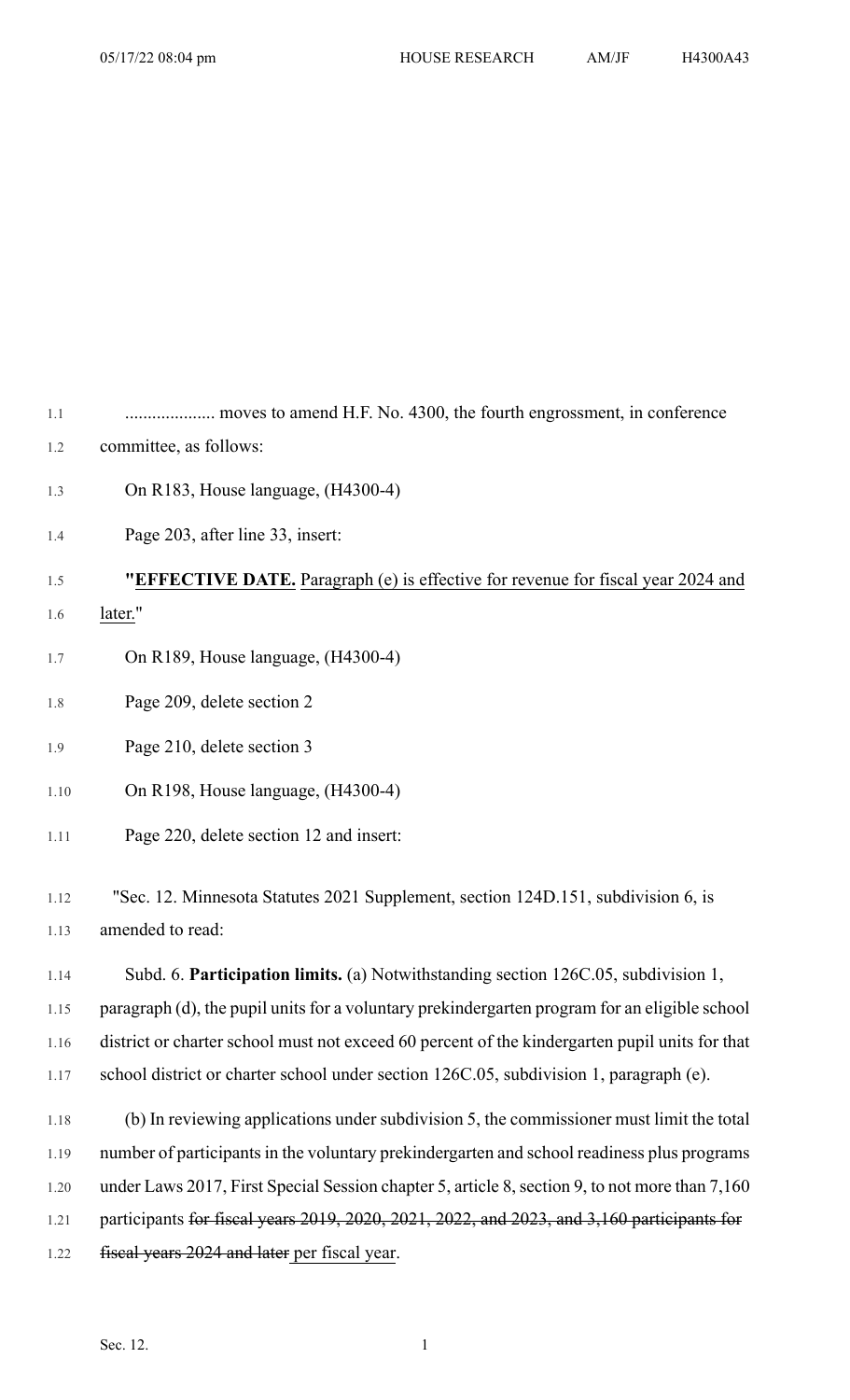1.1 .................... moves to amend H.F. No. 4300, the fourth engrossment, in conference 1.2 committee, as follows:

- 
- 1.3 On R183, House language, (H4300-4)
- 1.4 Page 203, after line 33, insert:

1.5 **"EFFECTIVE DATE.** Paragraph (e) is effective for revenue for fiscal year 2024 and

- 1.6 later."
- 1.7 On R189, House language, (H4300-4)
- 1.8 Page 209, delete section 2

1.9 Page 210, delete section 3

- 1.10 On R198, House language, (H4300-4)
- 1.11 Page 220, delete section 12 and insert:

1.12 "Sec. 12. Minnesota Statutes 2021 Supplement, section 124D.151, subdivision 6, is 1.13 amended to read:

1.14 Subd. 6. **Participation limits.** (a) Notwithstanding section 126C.05, subdivision 1, 1.15 paragraph (d), the pupil units for a voluntary prekindergarten program for an eligible school 1.16 district or charter school must not exceed 60 percent of the kindergarten pupil units for that 1.17 school district or charter school under section 126C.05, subdivision 1, paragraph (e).

1.18 (b) In reviewing applications under subdivision 5, the commissioner must limit the total 1.19 number of participants in the voluntary prekindergarten and school readiness plus programs 1.20 under Laws 2017, First Special Session chapter 5, article 8, section 9, to not more than 7,160 1.21 participants for fiscal years 2019, 2020, 2021, 2022, and 2023, and 3,160 participants for 1.22 fiscal years 2024 and later per fiscal year.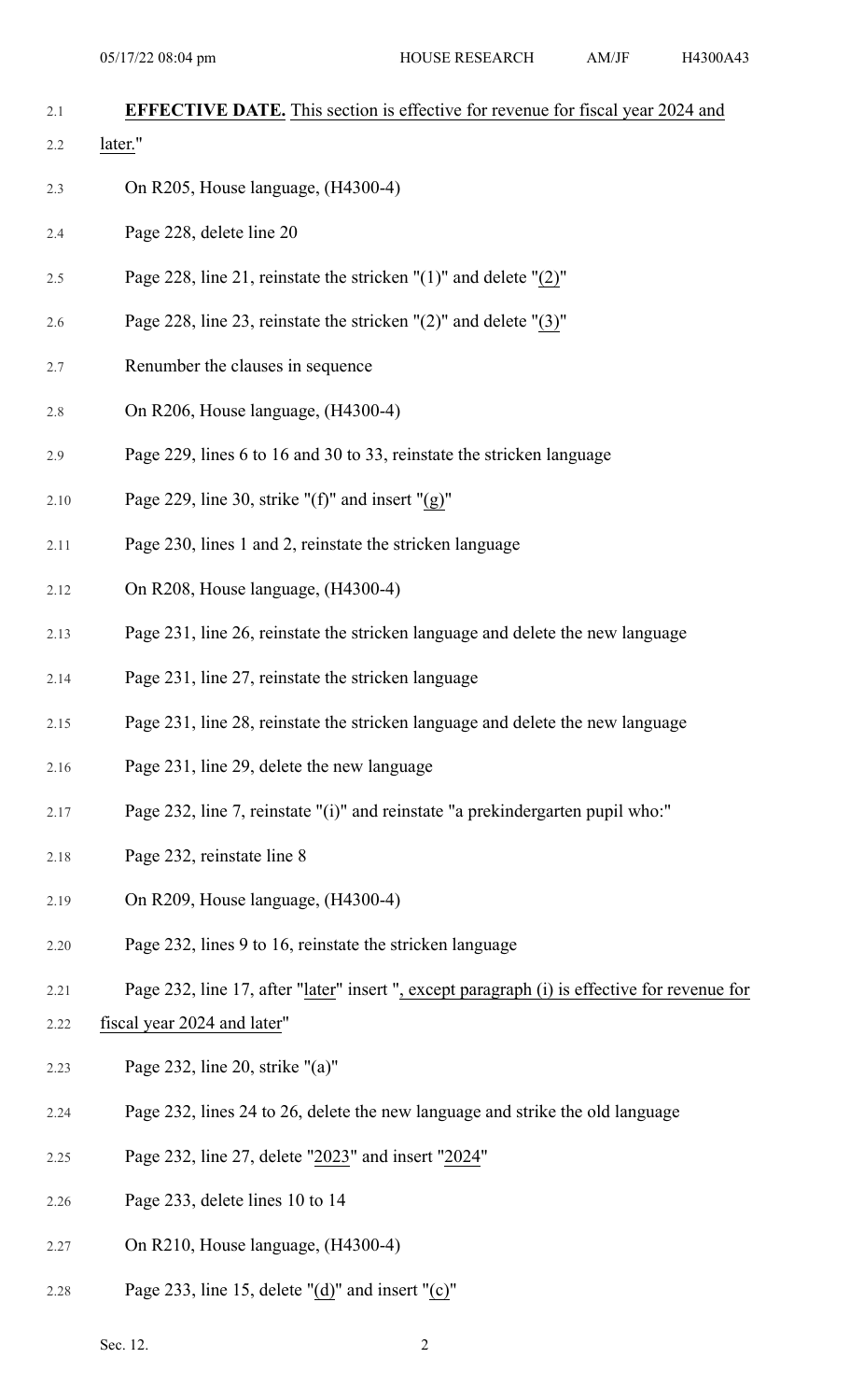| 2.1 | <b>EFFECTIVE DATE.</b> This section is effective for revenue for fiscal year 2024 and |
|-----|---------------------------------------------------------------------------------------|
| 2.2 | later."                                                                               |
| 2.3 | On R205, House language, (H4300-4)                                                    |
| 2.4 | Page 228, delete line 20                                                              |
| 2.5 | Page 228, line 21, reinstate the stricken " $(1)$ " and delete " $(2)$ "              |
| 2.6 | Page 228, line 23, reinstate the stricken $\Gamma(2)$ " and delete $\Gamma(3)$ "      |

- 2.7 Renumber the clauses in sequence
- 2.8 On R206, House language, (H4300-4)
- 2.9 Page 229, lines 6 to 16 and 30 to 33, reinstate the stricken language
- 2.10 Page 229, line 30, strike " $(f)$ " and insert " $(g)$ "
- 2.11 Page 230, lines 1 and 2, reinstate the stricken language
- 2.12 On R208, House language, (H4300-4)
- 2.13 Page 231, line 26, reinstate the stricken language and delete the new language
- 2.14 Page 231, line 27, reinstate the stricken language
- 2.15 Page 231, line 28, reinstate the stricken language and delete the new language
- 2.16 Page 231, line 29, delete the new language
- 2.17 Page 232, line 7, reinstate "(i)" and reinstate "a prekindergarten pupil who:"
- 2.18 Page 232, reinstate line 8
- 2.19 On R209, House language, (H4300-4)
- 2.20 Page 232, lines 9 to 16, reinstate the stricken language
- 2.21 Page 232, line 17, after "later" insert ", except paragraph (i) is effective for revenue for
- 2.22 fiscal year 2024 and later"
- 2.23 Page 232, line 20, strike "(a)"
- 2.24 Page 232, lines 24 to 26, delete the new language and strike the old language
- 2.25 Page 232, line 27, delete "2023" and insert "2024"
- 2.26 Page 233, delete lines 10 to 14
- 2.27 On R210, House language, (H4300-4)
- 2.28 Page 233, line 15, delete "(d)" and insert "(c)"

Sec. 12.  $\hspace{2.5cm}2$